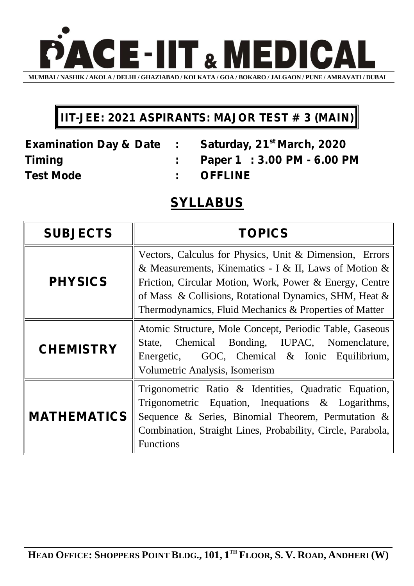

## **IIT-JEE: 2021 ASPIRANTS: MAJOR TEST # 3 (MAIN)**

**Test Mode : OFFLINE**

**Examination Day & Date : Saturday, 21st March, 2020 Timing : Paper 1 : 3.00 PM - 6.00 PM**

## **SYLLABUS**

| <b>SUBJECTS</b>    | <b>TOPICS</b>                                                                                                                                                                                                                                                                                   |
|--------------------|-------------------------------------------------------------------------------------------------------------------------------------------------------------------------------------------------------------------------------------------------------------------------------------------------|
| <b>PHYSICS</b>     | Vectors, Calculus for Physics, Unit & Dimension, Errors<br>& Measurements, Kinematics - I & II, Laws of Motion &<br>Friction, Circular Motion, Work, Power & Energy, Centre<br>of Mass & Collisions, Rotational Dynamics, SHM, Heat &<br>Thermodynamics, Fluid Mechanics & Properties of Matter |
| <b>CHEMISTRY</b>   | Atomic Structure, Mole Concept, Periodic Table, Gaseous<br>State, Chemical Bonding, IUPAC, Nomenclature,<br>Energetic, GOC, Chemical & Ionic Equilibrium,<br>Volumetric Analysis, Isomerism                                                                                                     |
| <b>MATHEMATICS</b> | Trigonometric Ratio & Identities, Quadratic Equation,<br>Trigonometric Equation, Inequations & Logarithms,<br>Sequence & Series, Binomial Theorem, Permutation &<br>Combination, Straight Lines, Probability, Circle, Parabola,<br><b>Functions</b>                                             |